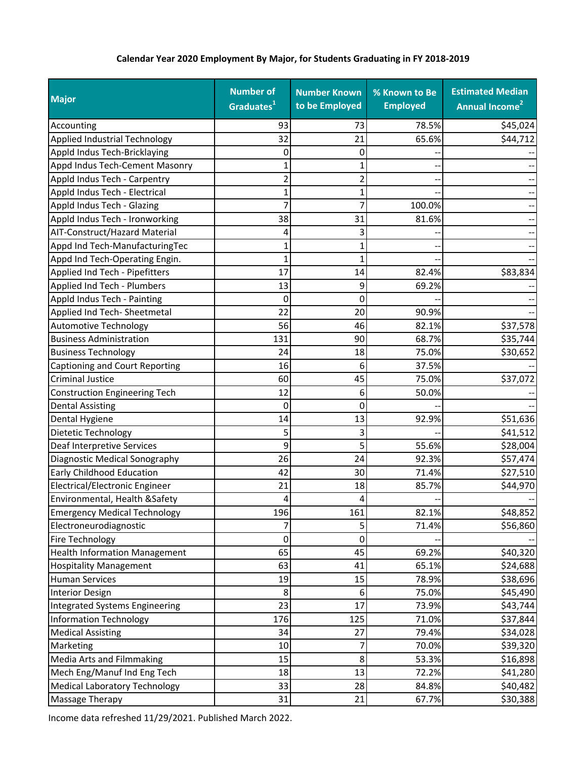## **Calendar Year 2020 Employment By Major, for Students Graduating in FY 2018‐2019**

| <b>Major</b>                          | <b>Number of</b><br>Graduates <sup>1</sup> | <b>Number Known</b><br>to be Employed | % Known to Be<br><b>Employed</b> | <b>Estimated Median</b><br>Annual Income <sup>2</sup> |
|---------------------------------------|--------------------------------------------|---------------------------------------|----------------------------------|-------------------------------------------------------|
| Accounting                            | 93                                         | 73                                    | 78.5%                            | \$45,024                                              |
| <b>Applied Industrial Technology</b>  | 32                                         | 21                                    | 65.6%                            | \$44,712                                              |
| Appld Indus Tech-Bricklaying          | 0                                          | 0                                     |                                  |                                                       |
| Appd Indus Tech-Cement Masonry        | 1                                          | 1                                     |                                  |                                                       |
| Appld Indus Tech - Carpentry          | 2                                          | $\overline{2}$                        |                                  |                                                       |
| Appld Indus Tech - Electrical         | 1                                          | 1                                     |                                  |                                                       |
| Appld Indus Tech - Glazing            | 7                                          | 7                                     | 100.0%                           |                                                       |
| Appld Indus Tech - Ironworking        | 38                                         | 31                                    | 81.6%                            |                                                       |
| AIT-Construct/Hazard Material         | 4                                          | 3                                     |                                  |                                                       |
| Appd Ind Tech-ManufacturingTec        | 1                                          | 1                                     |                                  |                                                       |
| Appd Ind Tech-Operating Engin.        | 1                                          | 1                                     |                                  |                                                       |
| Applied Ind Tech - Pipefitters        | 17                                         | 14                                    | 82.4%                            | \$83,834                                              |
| Applied Ind Tech - Plumbers           | 13                                         | 9                                     | 69.2%                            |                                                       |
| Appld Indus Tech - Painting           | 0                                          | 0                                     |                                  |                                                       |
| Applied Ind Tech- Sheetmetal          | 22                                         | 20                                    | 90.9%                            |                                                       |
| <b>Automotive Technology</b>          | 56                                         | 46                                    | 82.1%                            | \$37,578                                              |
| <b>Business Administration</b>        | 131                                        | 90                                    | 68.7%                            | \$35,744                                              |
| <b>Business Technology</b>            | 24                                         | 18                                    | 75.0%                            | \$30,652                                              |
| Captioning and Court Reporting        | 16                                         | 6                                     | 37.5%                            |                                                       |
| <b>Criminal Justice</b>               | 60                                         | 45                                    | 75.0%                            | \$37,072                                              |
| Construction Engineering Tech         | 12                                         | 6                                     | 50.0%                            |                                                       |
| <b>Dental Assisting</b>               | 0                                          | 0                                     |                                  |                                                       |
| Dental Hygiene                        | 14                                         | 13                                    | 92.9%                            | \$51,636                                              |
| Dietetic Technology                   | 5                                          | 3                                     |                                  | \$41,512                                              |
| Deaf Interpretive Services            | 9                                          | 5                                     | 55.6%                            | \$28,004                                              |
| Diagnostic Medical Sonography         | 26                                         | 24                                    | 92.3%                            | \$57,474                                              |
| <b>Early Childhood Education</b>      | 42                                         | 30                                    | 71.4%                            | \$27,510                                              |
| Electrical/Electronic Engineer        | 21                                         | 18                                    | 85.7%                            | \$44,970                                              |
| Environmental, Health & Safety        | 4                                          | 4                                     |                                  |                                                       |
| <b>Emergency Medical Technology</b>   | 196                                        | 161                                   | 82.1%                            | \$48,852                                              |
| Electroneurodiagnostic                | 7                                          | 5                                     | 71.4%                            | \$56,860                                              |
| Fire Technology                       | 0                                          | $\pmb{0}$                             |                                  |                                                       |
| <b>Health Information Management</b>  | 65                                         | 45                                    | 69.2%                            | \$40,320                                              |
| <b>Hospitality Management</b>         | 63                                         | 41                                    | 65.1%                            | \$24,688                                              |
| <b>Human Services</b>                 | 19                                         | 15                                    | 78.9%                            | \$38,696                                              |
| <b>Interior Design</b>                | 8                                          | 6                                     | 75.0%                            | \$45,490                                              |
| <b>Integrated Systems Engineering</b> | 23                                         | 17                                    | 73.9%                            | \$43,744                                              |
| <b>Information Technology</b>         | 176                                        | 125                                   | 71.0%                            | \$37,844                                              |
| <b>Medical Assisting</b>              | 34                                         | 27                                    | 79.4%                            | \$34,028                                              |
| Marketing                             | 10                                         | 7                                     | 70.0%                            | \$39,320                                              |
| Media Arts and Filmmaking             | 15                                         | 8                                     | 53.3%                            | \$16,898                                              |
| Mech Eng/Manuf Ind Eng Tech           | 18                                         | 13                                    | 72.2%                            | \$41,280                                              |
| <b>Medical Laboratory Technology</b>  | 33                                         | 28                                    | 84.8%                            | \$40,482                                              |
| Massage Therapy                       | 31                                         | 21                                    | 67.7%                            | \$30,388                                              |

Income data refreshed 11/29/2021. Published March 2022.